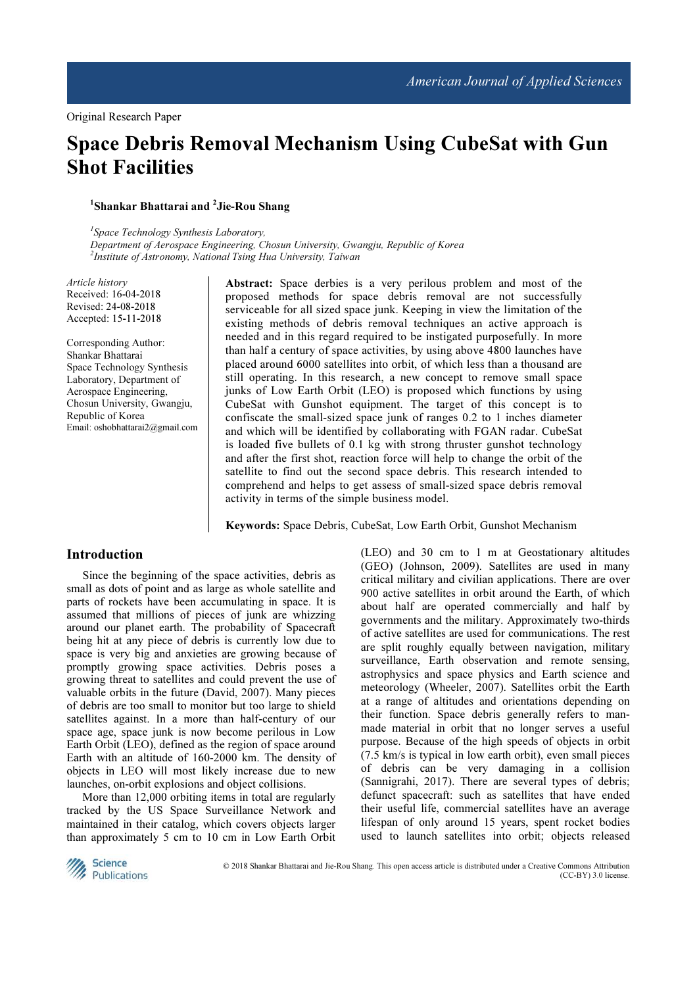# Space Debris Removal Mechanism Using CubeSat with Gun Shot Facilities

<sup>1</sup>Shankar Bhattarai and <sup>2</sup>Jie-Rou Shang

<sup>1</sup>Space Technology Synthesis Laboratory,

Department of Aerospace Engineering, Chosun University, Gwangju, Republic of Korea 2 Institute of Astronomy, National Tsing Hua University, Taiwan

Article history Received: 16-04-2018 Revised: 24-08-2018 Accepted: 15-11-2018

Corresponding Author: Shankar Bhattarai Space Technology Synthesis Laboratory, Department of Aerospace Engineering, Chosun University, Gwangju, Republic of Korea Email: oshobhattarai2@gmail.com Abstract: Space derbies is a very perilous problem and most of the proposed methods for space debris removal are not successfully serviceable for all sized space junk. Keeping in view the limitation of the existing methods of debris removal techniques an active approach is needed and in this regard required to be instigated purposefully. In more than half a century of space activities, by using above 4800 launches have placed around 6000 satellites into orbit, of which less than a thousand are still operating. In this research, a new concept to remove small space junks of Low Earth Orbit (LEO) is proposed which functions by using CubeSat with Gunshot equipment. The target of this concept is to confiscate the small-sized space junk of ranges 0.2 to 1 inches diameter and which will be identified by collaborating with FGAN radar. CubeSat is loaded five bullets of 0.1 kg with strong thruster gunshot technology and after the first shot, reaction force will help to change the orbit of the satellite to find out the second space debris. This research intended to comprehend and helps to get assess of small-sized space debris removal activity in terms of the simple business model.

Keywords: Space Debris, CubeSat, Low Earth Orbit, Gunshot Mechanism

#### Introduction

Since the beginning of the space activities, debris as small as dots of point and as large as whole satellite and parts of rockets have been accumulating in space. It is assumed that millions of pieces of junk are whizzing around our planet earth. The probability of Spacecraft being hit at any piece of debris is currently low due to space is very big and anxieties are growing because of promptly growing space activities. Debris poses a growing threat to satellites and could prevent the use of valuable orbits in the future (David, 2007). Many pieces of debris are too small to monitor but too large to shield satellites against. In a more than half-century of our space age, space junk is now become perilous in Low Earth Orbit (LEO), defined as the region of space around Earth with an altitude of 160-2000 km. The density of objects in LEO will most likely increase due to new launches, on-orbit explosions and object collisions.

More than 12,000 orbiting items in total are regularly tracked by the US Space Surveillance Network and maintained in their catalog, which covers objects larger than approximately 5 cm to 10 cm in Low Earth Orbit

(LEO) and 30 cm to 1 m at Geostationary altitudes (GEO) (Johnson, 2009). Satellites are used in many critical military and civilian applications. There are over 900 active satellites in orbit around the Earth, of which about half are operated commercially and half by governments and the military. Approximately two-thirds of active satellites are used for communications. The rest are split roughly equally between navigation, military surveillance, Earth observation and remote sensing, astrophysics and space physics and Earth science and meteorology (Wheeler, 2007). Satellites orbit the Earth at a range of altitudes and orientations depending on their function. Space debris generally refers to manmade material in orbit that no longer serves a useful purpose. Because of the high speeds of objects in orbit (7.5 km/s is typical in low earth orbit), even small pieces of debris can be very damaging in a collision (Sannigrahi, 2017). There are several types of debris; defunct spacecraft: such as satellites that have ended their useful life, commercial satellites have an average lifespan of only around 15 years, spent rocket bodies used to launch satellites into orbit; objects released



 © 2018 Shankar Bhattarai and Jie-Rou Shang. This open access article is distributed under a Creative Commons Attribution (CC-BY) 3.0 license.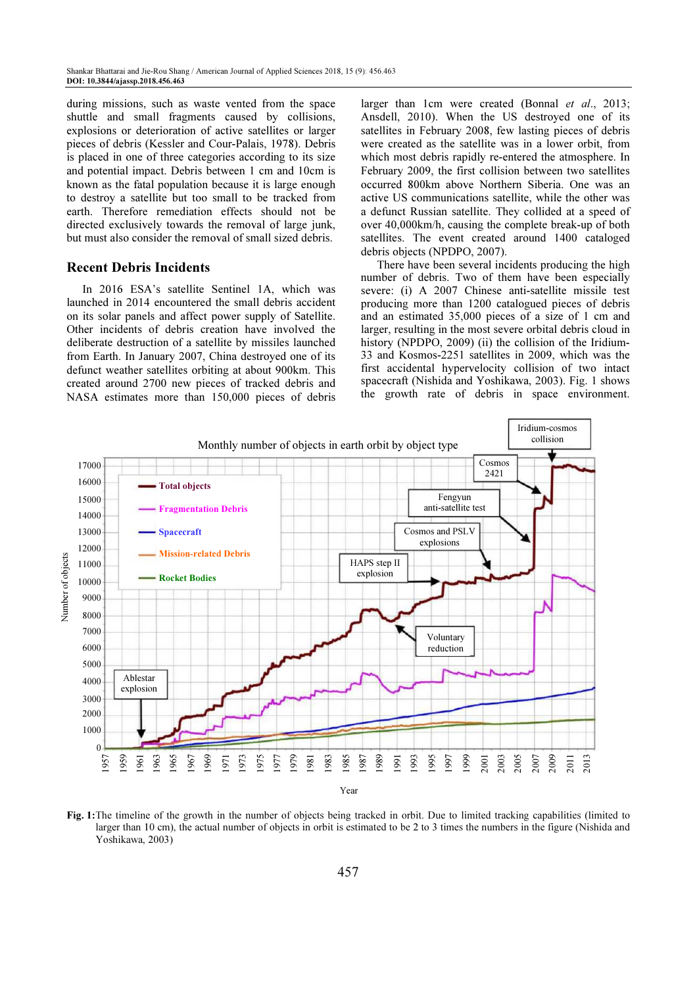during missions, such as waste vented from the space shuttle and small fragments caused by collisions, explosions or deterioration of active satellites or larger pieces of debris (Kessler and Cour-Palais, 1978). Debris is placed in one of three categories according to its size and potential impact. Debris between 1 cm and 10cm is known as the fatal population because it is large enough to destroy a satellite but too small to be tracked from earth. Therefore remediation effects should not be directed exclusively towards the removal of large junk, but must also consider the removal of small sized debris.

## Recent Debris Incidents

In 2016 ESA's satellite Sentinel 1A, which was launched in 2014 encountered the small debris accident on its solar panels and affect power supply of Satellite. Other incidents of debris creation have involved the deliberate destruction of a satellite by missiles launched from Earth. In January 2007, China destroyed one of its defunct weather satellites orbiting at about 900km. This created around 2700 new pieces of tracked debris and NASA estimates more than 150,000 pieces of debris larger than 1cm were created (Bonnal et al., 2013; Ansdell, 2010). When the US destroyed one of its satellites in February 2008, few lasting pieces of debris were created as the satellite was in a lower orbit, from which most debris rapidly re-entered the atmosphere. In February 2009, the first collision between two satellites occurred 800km above Northern Siberia. One was an active US communications satellite, while the other was a defunct Russian satellite. They collided at a speed of over 40,000km/h, causing the complete break-up of both satellites. The event created around 1400 cataloged debris objects (NPDPO, 2007).

There have been several incidents producing the high number of debris. Two of them have been especially severe: (i) A 2007 Chinese anti-satellite missile test producing more than 1200 catalogued pieces of debris and an estimated 35,000 pieces of a size of 1 cm and larger, resulting in the most severe orbital debris cloud in history (NPDPO, 2009) (ii) the collision of the Iridium-33 and Kosmos-2251 satellites in 2009, which was the first accidental hypervelocity collision of two intact spacecraft (Nishida and Yoshikawa, 2003). Fig. 1 shows the growth rate of debris in space environment.



Fig. 1: The timeline of the growth in the number of objects being tracked in orbit. Due to limited tracking capabilities (limited to larger than 10 cm), the actual number of objects in orbit is estimated to be 2 to 3 times the numbers in the figure (Nishida and Yoshikawa, 2003)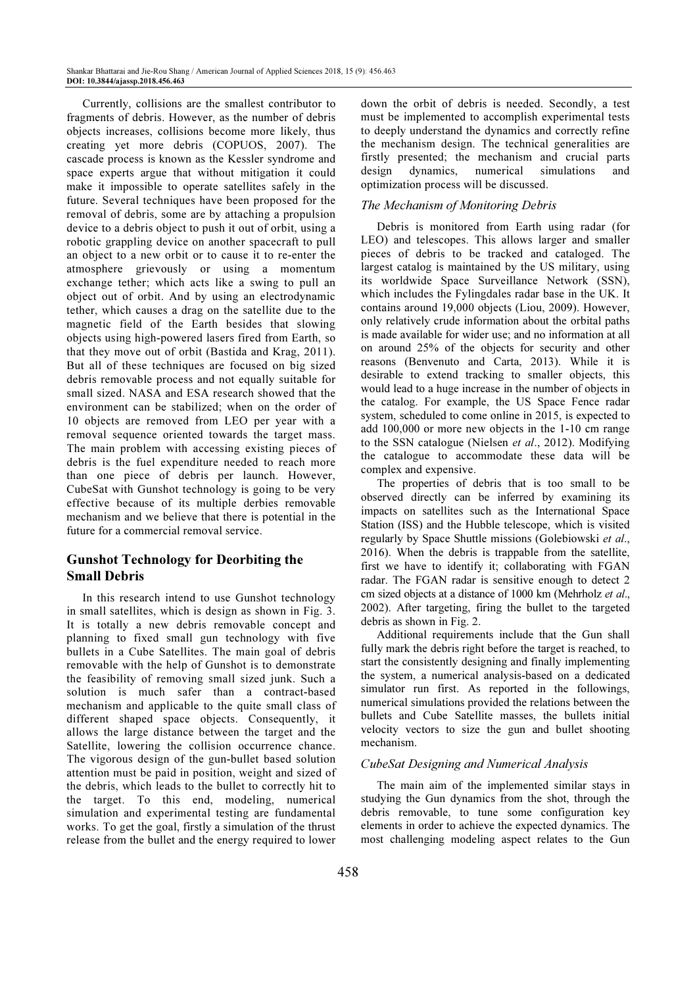Currently, collisions are the smallest contributor to fragments of debris. However, as the number of debris objects increases, collisions become more likely, thus creating yet more debris (COPUOS, 2007). The cascade process is known as the Kessler syndrome and space experts argue that without mitigation it could make it impossible to operate satellites safely in the future. Several techniques have been proposed for the removal of debris, some are by attaching a propulsion device to a debris object to push it out of orbit, using a robotic grappling device on another spacecraft to pull an object to a new orbit or to cause it to re-enter the atmosphere grievously or using a momentum exchange tether; which acts like a swing to pull an object out of orbit. And by using an electrodynamic tether, which causes a drag on the satellite due to the magnetic field of the Earth besides that slowing objects using high-powered lasers fired from Earth, so that they move out of orbit (Bastida and Krag, 2011). But all of these techniques are focused on big sized debris removable process and not equally suitable for small sized. NASA and ESA research showed that the environment can be stabilized; when on the order of 10 objects are removed from LEO per year with a removal sequence oriented towards the target mass. The main problem with accessing existing pieces of debris is the fuel expenditure needed to reach more than one piece of debris per launch. However, CubeSat with Gunshot technology is going to be very effective because of its multiple derbies removable mechanism and we believe that there is potential in the future for a commercial removal service.

## Gunshot Technology for Deorbiting the Small Debris

In this research intend to use Gunshot technology in small satellites, which is design as shown in Fig. 3. It is totally a new debris removable concept and planning to fixed small gun technology with five bullets in a Cube Satellites. The main goal of debris removable with the help of Gunshot is to demonstrate the feasibility of removing small sized junk. Such a solution is much safer than a contract-based mechanism and applicable to the quite small class of different shaped space objects. Consequently, it allows the large distance between the target and the Satellite, lowering the collision occurrence chance. The vigorous design of the gun-bullet based solution attention must be paid in position, weight and sized of the debris, which leads to the bullet to correctly hit to the target. To this end, modeling, numerical simulation and experimental testing are fundamental works. To get the goal, firstly a simulation of the thrust release from the bullet and the energy required to lower

down the orbit of debris is needed. Secondly, a test must be implemented to accomplish experimental tests to deeply understand the dynamics and correctly refine the mechanism design. The technical generalities are firstly presented; the mechanism and crucial parts design dynamics, numerical simulations and optimization process will be discussed.

## The Mechanism of Monitoring Debris

Debris is monitored from Earth using radar (for LEO) and telescopes. This allows larger and smaller pieces of debris to be tracked and cataloged. The largest catalog is maintained by the US military, using its worldwide Space Surveillance Network (SSN), which includes the Fylingdales radar base in the UK. It contains around 19,000 objects (Liou, 2009). However, only relatively crude information about the orbital paths is made available for wider use; and no information at all on around 25% of the objects for security and other reasons (Benvenuto and Carta, 2013). While it is desirable to extend tracking to smaller objects, this would lead to a huge increase in the number of objects in the catalog. For example, the US Space Fence radar system, scheduled to come online in 2015, is expected to add 100,000 or more new objects in the 1-10 cm range to the SSN catalogue (Nielsen et al., 2012). Modifying the catalogue to accommodate these data will be complex and expensive.

The properties of debris that is too small to be observed directly can be inferred by examining its impacts on satellites such as the International Space Station (ISS) and the Hubble telescope, which is visited regularly by Space Shuttle missions (Golebiowski et al., 2016). When the debris is trappable from the satellite, first we have to identify it; collaborating with FGAN radar. The FGAN radar is sensitive enough to detect 2 cm sized objects at a distance of 1000 km (Mehrholz et al., 2002). After targeting, firing the bullet to the targeted debris as shown in Fig. 2.

Additional requirements include that the Gun shall fully mark the debris right before the target is reached, to start the consistently designing and finally implementing the system, a numerical analysis-based on a dedicated simulator run first. As reported in the followings, numerical simulations provided the relations between the bullets and Cube Satellite masses, the bullets initial velocity vectors to size the gun and bullet shooting mechanism.

## CubeSat Designing and Numerical Analysis

The main aim of the implemented similar stays in studying the Gun dynamics from the shot, through the debris removable, to tune some configuration key elements in order to achieve the expected dynamics. The most challenging modeling aspect relates to the Gun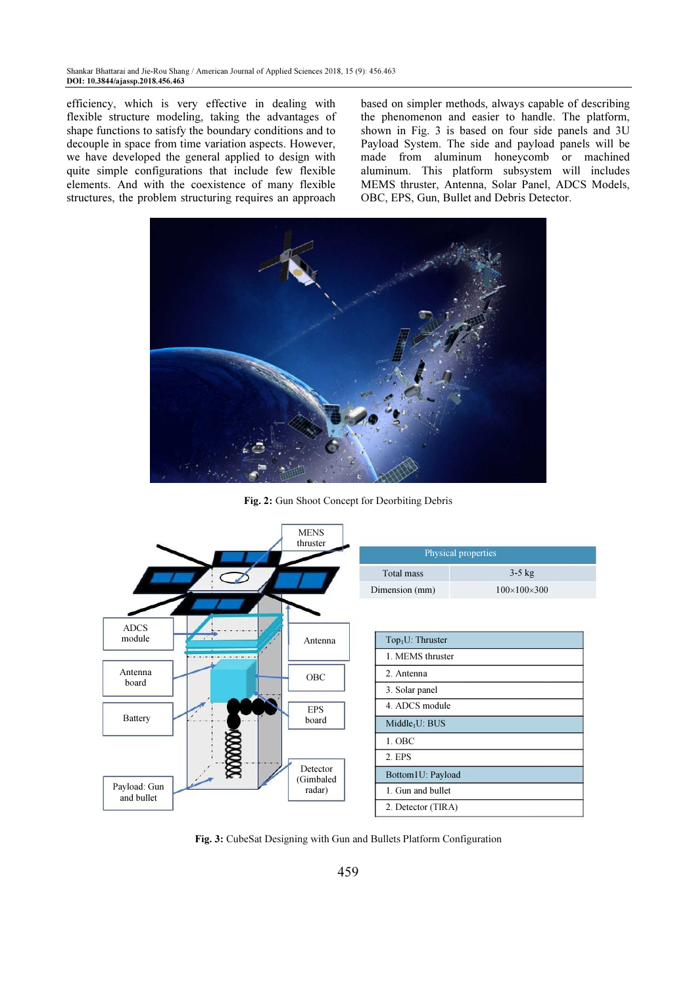efficiency, which is very effective in dealing with flexible structure modeling, taking the advantages of shape functions to satisfy the boundary conditions and to decouple in space from time variation aspects. However, we have developed the general applied to design with quite simple configurations that include few flexible elements. And with the coexistence of many flexible structures, the problem structuring requires an approach based on simpler methods, always capable of describing the phenomenon and easier to handle. The platform, shown in Fig. 3 is based on four side panels and 3U Payload System. The side and payload panels will be made from aluminum honeycomb or machined aluminum. This platform subsystem will includes MEMS thruster, Antenna, Solar Panel, ADCS Models, OBC, EPS, Gun, Bullet and Debris Detector.



Fig. 2: Gun Shoot Concept for Deorbiting Debris



Fig. 3: CubeSat Designing with Gun and Bullets Platform Configuration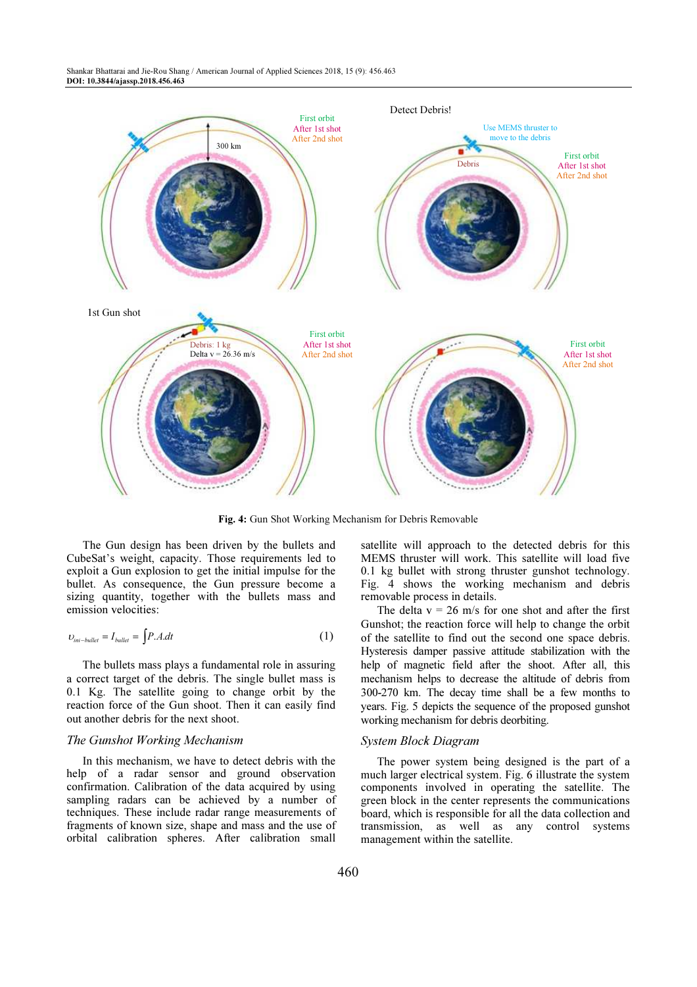

Fig. 4: Gun Shot Working Mechanism for Debris Removable

The Gun design has been driven by the bullets and CubeSat's weight, capacity. Those requirements led to exploit a Gun explosion to get the initial impulse for the bullet. As consequence, the Gun pressure become a sizing quantity, together with the bullets mass and emission velocities:

$$
v_{\text{ini-bullet}} = I_{\text{bullet}} = \int P.A. dt
$$
 (1)

The bullets mass plays a fundamental role in assuring a correct target of the debris. The single bullet mass is 0.1 Kg. The satellite going to change orbit by the reaction force of the Gun shoot. Then it can easily find out another debris for the next shoot.

#### The Gunshot Working Mechanism

In this mechanism, we have to detect debris with the help of a radar sensor and ground observation confirmation. Calibration of the data acquired by using sampling radars can be achieved by a number of techniques. These include radar range measurements of fragments of known size, shape and mass and the use of orbital calibration spheres. After calibration small

satellite will approach to the detected debris for this MEMS thruster will work. This satellite will load five 0.1 kg bullet with strong thruster gunshot technology. Fig. 4 shows the working mechanism and debris removable process in details.

The delta  $v = 26$  m/s for one shot and after the first Gunshot; the reaction force will help to change the orbit of the satellite to find out the second one space debris. Hysteresis damper passive attitude stabilization with the help of magnetic field after the shoot. After all, this mechanism helps to decrease the altitude of debris from 300-270 km. The decay time shall be a few months to years. Fig. 5 depicts the sequence of the proposed gunshot working mechanism for debris deorbiting.

#### System Block Diagram

The power system being designed is the part of a much larger electrical system. Fig. 6 illustrate the system components involved in operating the satellite. The green block in the center represents the communications board, which is responsible for all the data collection and transmission, as well as any control systems management within the satellite.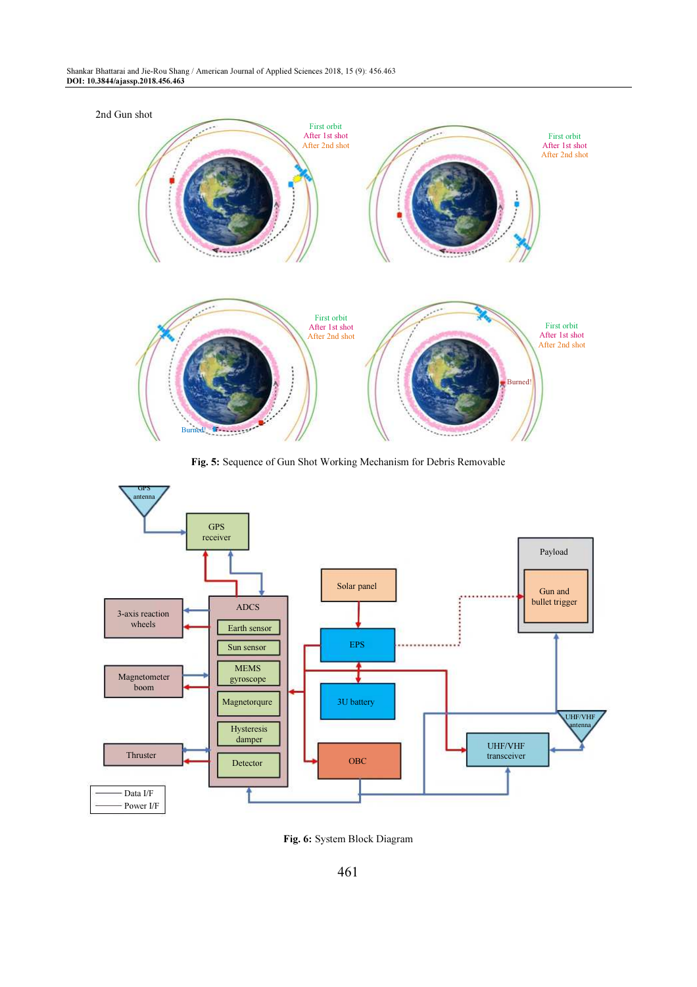

Fig. 5: Sequence of Gun Shot Working Mechanism for Debris Removable



Fig. 6: System Block Diagram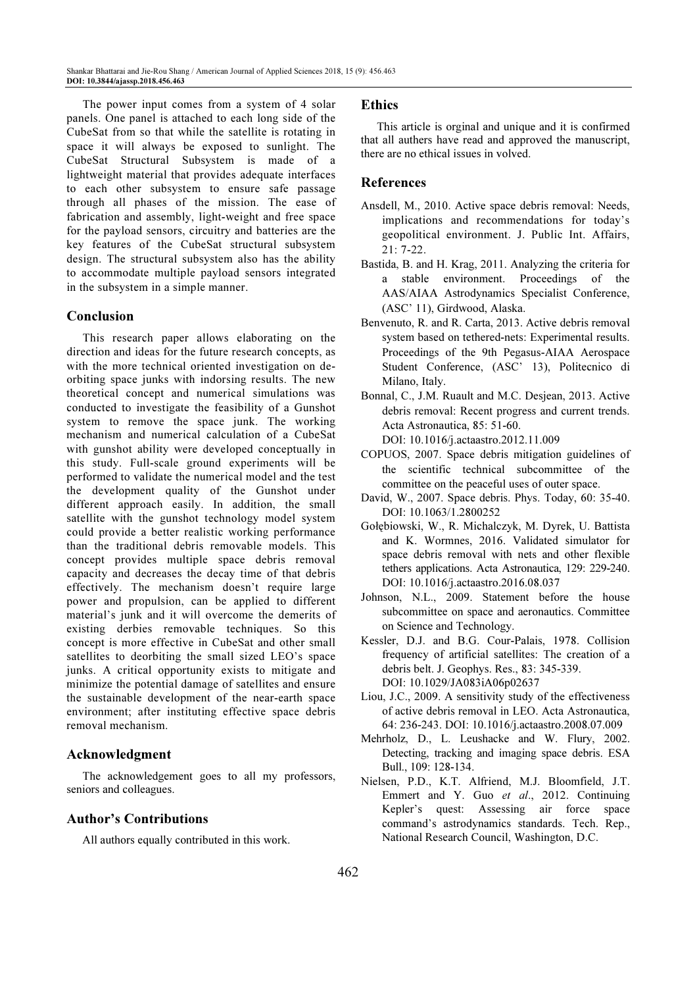The power input comes from a system of 4 solar panels. One panel is attached to each long side of the CubeSat from so that while the satellite is rotating in space it will always be exposed to sunlight. The CubeSat Structural Subsystem is made of a lightweight material that provides adequate interfaces to each other subsystem to ensure safe passage through all phases of the mission. The ease of fabrication and assembly, light-weight and free space for the payload sensors, circuitry and batteries are the key features of the CubeSat structural subsystem design. The structural subsystem also has the ability to accommodate multiple payload sensors integrated in the subsystem in a simple manner.

## Conclusion

This research paper allows elaborating on the direction and ideas for the future research concepts, as with the more technical oriented investigation on deorbiting space junks with indorsing results. The new theoretical concept and numerical simulations was conducted to investigate the feasibility of a Gunshot system to remove the space junk. The working mechanism and numerical calculation of a CubeSat with gunshot ability were developed conceptually in this study. Full-scale ground experiments will be performed to validate the numerical model and the test the development quality of the Gunshot under different approach easily. In addition, the small satellite with the gunshot technology model system could provide a better realistic working performance than the traditional debris removable models. This concept provides multiple space debris removal capacity and decreases the decay time of that debris effectively. The mechanism doesn't require large power and propulsion, can be applied to different material's junk and it will overcome the demerits of existing derbies removable techniques. So this concept is more effective in CubeSat and other small satellites to deorbiting the small sized LEO's space junks. A critical opportunity exists to mitigate and minimize the potential damage of satellites and ensure the sustainable development of the near-earth space environment; after instituting effective space debris removal mechanism.

## Acknowledgment

The acknowledgement goes to all my professors, seniors and colleagues.

## Author's Contributions

All authors equally contributed in this work.

#### **Ethics**

This article is orginal and unique and it is confirmed that all authers have read and approved the manuscript, there are no ethical issues in volved.

## References

- Ansdell, M., 2010. Active space debris removal: Needs, implications and recommendations for today's geopolitical environment. J. Public Int. Affairs, 21: 7-22.
- Bastida, B. and H. Krag, 2011. Analyzing the criteria for a stable environment. Proceedings of the AAS/AIAA Astrodynamics Specialist Conference, (ASC' 11), Girdwood, Alaska.
- Benvenuto, R. and R. Carta, 2013. Active debris removal system based on tethered-nets: Experimental results. Proceedings of the 9th Pegasus-AIAA Aerospace Student Conference, (ASC' 13), Politecnico di Milano, Italy.
- Bonnal, C., J.M. Ruault and M.C. Desjean, 2013. Active debris removal: Recent progress and current trends. Acta Astronautica, 85: 51-60. DOI: 10.1016/j.actaastro.2012.11.009
- COPUOS, 2007. Space debris mitigation guidelines of the scientific technical subcommittee of the committee on the peaceful uses of outer space.
- David, W., 2007. Space debris. Phys. Today, 60: 35-40. DOI: 10.1063/1.2800252
- Gołębiowski, W., R. Michalczyk, M. Dyrek, U. Battista and K. Wormnes, 2016. Validated simulator for space debris removal with nets and other flexible tethers applications. Acta Astronautica, 129: 229-240. DOI: 10.1016/j.actaastro.2016.08.037
- Johnson, N.L., 2009. Statement before the house subcommittee on space and aeronautics. Committee on Science and Technology.
- Kessler, D.J. and B.G. Cour-Palais, 1978. Collision frequency of artificial satellites: The creation of a debris belt. J. Geophys. Res., 83: 345-339. DOI: 10.1029/JA083iA06p02637
- Liou, J.C., 2009. A sensitivity study of the effectiveness of active debris removal in LEO. Acta Astronautica, 64: 236-243. DOI: 10.1016/j.actaastro.2008.07.009
- Mehrholz, D., L. Leushacke and W. Flury, 2002. Detecting, tracking and imaging space debris. ESA Bull., 109: 128-134.
- Nielsen, P.D., K.T. Alfriend, M.J. Bloomfield, J.T. Emmert and Y. Guo et al., 2012. Continuing Kepler's quest: Assessing air force space command's astrodynamics standards. Tech. Rep., National Research Council, Washington, D.C.